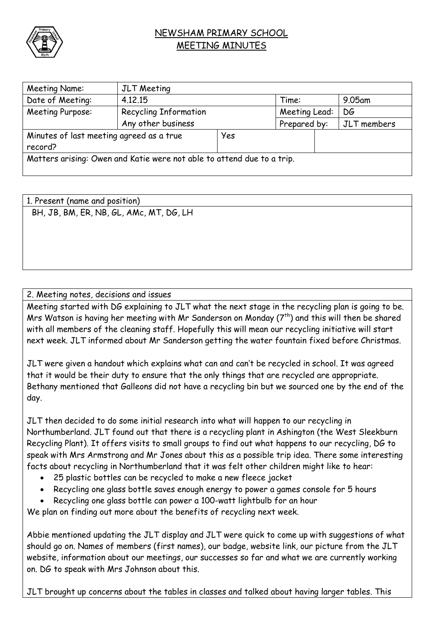

## NEWSHAM PRIMARY SCHOOL MEETING MINUTES

| Meeting Name:                                                          | JLT Meeting                  |     |               |  |             |  |
|------------------------------------------------------------------------|------------------------------|-----|---------------|--|-------------|--|
| Date of Meeting:                                                       | 4.12.15                      |     | Time:         |  | 9.05am      |  |
| Meeting Purpose:                                                       | <b>Recycling Information</b> |     | Meeting Lead: |  | DG          |  |
|                                                                        | Any other business           |     | Prepared by:  |  | JLT members |  |
| Minutes of last meeting agreed as a true                               |                              | Yes |               |  |             |  |
| record?                                                                |                              |     |               |  |             |  |
| Matters arising: Owen and Katie were not able to attend due to a trip. |                              |     |               |  |             |  |

| 1. Present (name and position)          |  |
|-----------------------------------------|--|
| BH, JB, BM, ER, NB, GL, AMc, MT, DG, LH |  |
|                                         |  |
|                                         |  |
|                                         |  |

## 2. Meeting notes, decisions and issues

Meeting started with DG explaining to JLT what the next stage in the recycling plan is going to be. Mrs Watson is having her meeting with Mr Sanderson on Monday  $(7^{th})$  and this will then be shared with all members of the cleaning staff. Hopefully this will mean our recycling initiative will start next week. JLT informed about Mr Sanderson getting the water fountain fixed before Christmas.

JLT were given a handout which explains what can and can't be recycled in school. It was agreed that it would be their duty to ensure that the only things that are recycled are appropriate. Bethany mentioned that Galleons did not have a recycling bin but we sourced one by the end of the day.

JLT then decided to do some initial research into what will happen to our recycling in Northumberland. JLT found out that there is a recycling plant in Ashington (the West Sleekburn Recycling Plant). It offers visits to small groups to find out what happens to our recycling, DG to speak with Mrs Armstrong and Mr Jones about this as a possible trip idea. There some interesting facts about recycling in Northumberland that it was felt other children might like to hear:

- 25 plastic bottles can be recycled to make a new fleece jacket
- Recycling one glass bottle saves enough energy to power a games console for 5 hours
- Recycling one glass bottle can power a 100-watt lightbulb for an hour

We plan on finding out more about the benefits of recycling next week.

Abbie mentioned updating the JLT display and JLT were quick to come up with suggestions of what should go on. Names of members (first names), our badge, website link, our picture from the JLT website, information about our meetings, our successes so far and what we are currently working on. DG to speak with Mrs Johnson about this.

JLT brought up concerns about the tables in classes and talked about having larger tables. This